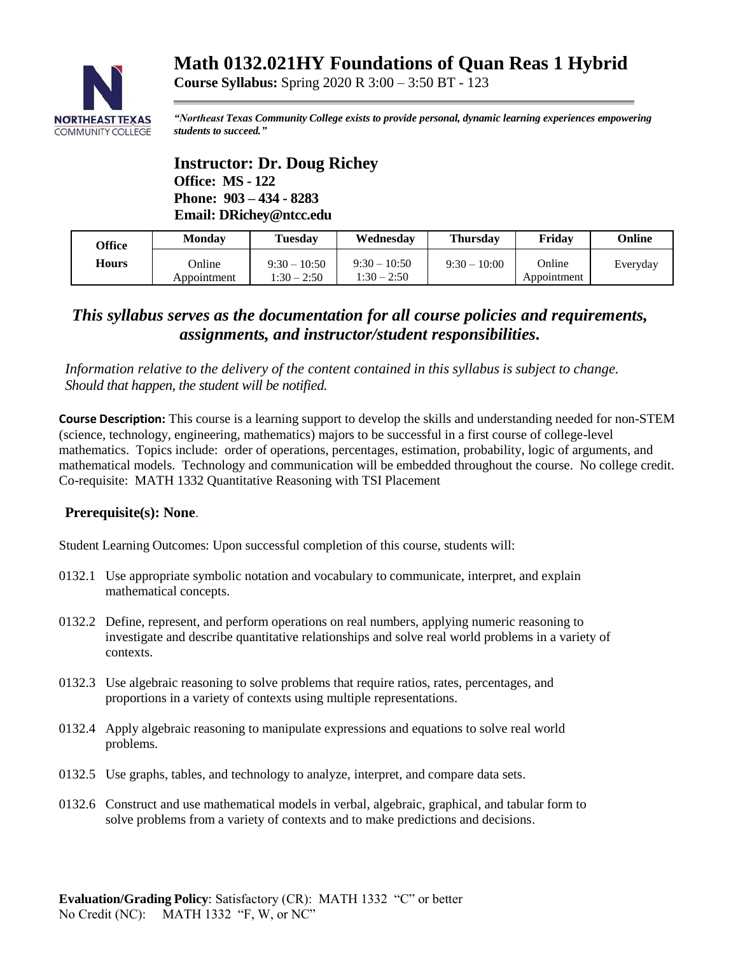# **Math 0132.021HY Foundations of Quan Reas 1 Hybrid**



*"Northeast Texas Community College exists to provide personal, dynamic learning experiences empowering students to succeed."*

# **Instructor: Dr. Doug Richey Office: MS - 122 Phone: 903 – 434 - 8283 Email: DRichey@ntcc.edu**

| Office | Monday                | <b>Tuesday</b>                  | Wednesday                       | <b>Thursday</b> | Fridav                | Online   |
|--------|-----------------------|---------------------------------|---------------------------------|-----------------|-----------------------|----------|
| Hours  | Online<br>Appointment | $9:30 - 10:50$<br>$1:30 - 2:50$ | $9:30 - 10:50$<br>$1:30 - 2:50$ | $9:30 - 10:00$  | Online<br>Appointment | Everyday |

# *This syllabus serves as the documentation for all course policies and requirements, assignments, and instructor/student responsibilities.*

*Information relative to the delivery of the content contained in this syllabus is subject to change. Should that happen, the student will be notified.*

**Course Syllabus:** Spring 2020 R 3:00 – 3:50 BT - 123

**Course Description:** This course is a learning support to develop the skills and understanding needed for non-STEM (science, technology, engineering, mathematics) majors to be successful in a first course of college-level mathematics. Topics include: order of operations, percentages, estimation, probability, logic of arguments, and mathematical models. Technology and communication will be embedded throughout the course. No college credit. Co-requisite: MATH 1332 Quantitative Reasoning with TSI Placement

#### **Prerequisite(s): None**.

Student Learning Outcomes: Upon successful completion of this course, students will:

- 0132.1 Use appropriate symbolic notation and vocabulary to communicate, interpret, and explain mathematical concepts.
- 0132.2 Define, represent, and perform operations on real numbers, applying numeric reasoning to investigate and describe quantitative relationships and solve real world problems in a variety of contexts.
- 0132.3 Use algebraic reasoning to solve problems that require ratios, rates, percentages, and proportions in a variety of contexts using multiple representations.
- 0132.4 Apply algebraic reasoning to manipulate expressions and equations to solve real world problems.
- 0132.5 Use graphs, tables, and technology to analyze, interpret, and compare data sets.
- 0132.6 Construct and use mathematical models in verbal, algebraic, graphical, and tabular form to solve problems from a variety of contexts and to make predictions and decisions.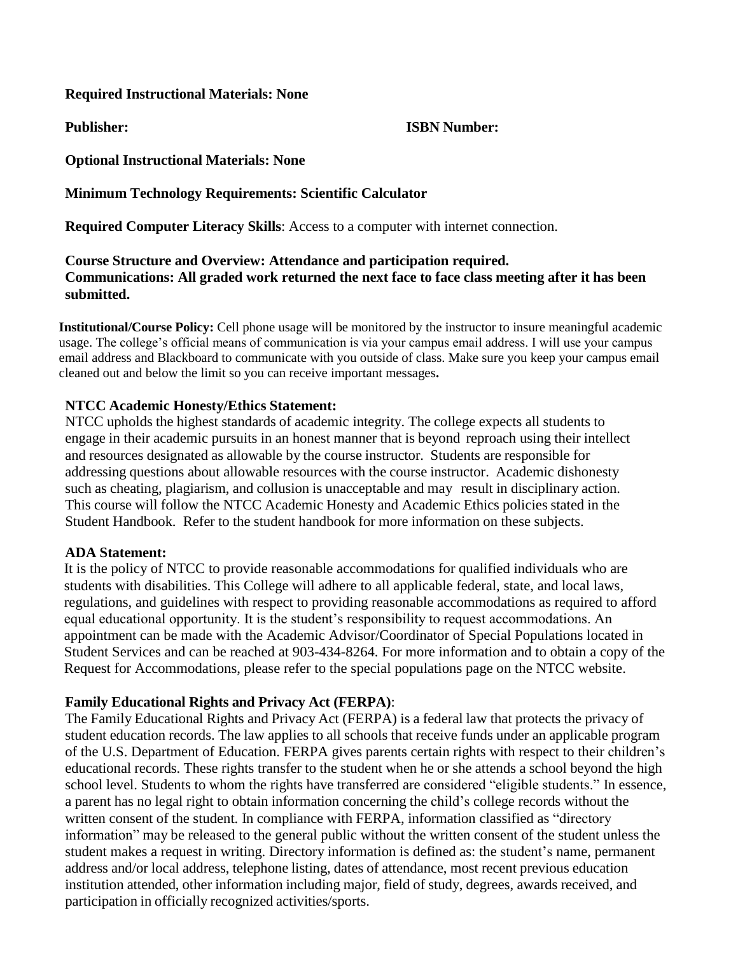#### **Required Instructional Materials: None**

#### **Publisher: ISBN Number:**

**Optional Instructional Materials: None**

### **Minimum Technology Requirements: Scientific Calculator**

**Required Computer Literacy Skills**: Access to a computer with internet connection.

# **Course Structure and Overview: Attendance and participation required. Communications: All graded work returned the next face to face class meeting after it has been submitted.**

**Institutional/Course Policy:** Cell phone usage will be monitored by the instructor to insure meaningful academic usage. The college's official means of communication is via your campus email address. I will use your campus email address and Blackboard to communicate with you outside of class. Make sure you keep your campus email cleaned out and below the limit so you can receive important messages**.**

### **NTCC Academic Honesty/Ethics Statement:**

NTCC upholds the highest standards of academic integrity. The college expects all students to engage in their academic pursuits in an honest manner that is beyond reproach using their intellect and resources designated as allowable by the course instructor. Students are responsible for addressing questions about allowable resources with the course instructor. Academic dishonesty such as cheating, plagiarism, and collusion is unacceptable and may result in disciplinary action. This course will follow the NTCC Academic Honesty and Academic Ethics policies stated in the Student Handbook. Refer to the student handbook for more information on these subjects.

#### **ADA Statement:**

It is the policy of NTCC to provide reasonable accommodations for qualified individuals who are students with disabilities. This College will adhere to all applicable federal, state, and local laws, regulations, and guidelines with respect to providing reasonable accommodations as required to afford equal educational opportunity. It is the student's responsibility to request accommodations. An appointment can be made with the Academic Advisor/Coordinator of Special Populations located in Student Services and can be reached at 903-434-8264. For more information and to obtain a copy of the Request for Accommodations, please refer to the special populations page on the NTCC websit[e.](http://www.ntcc.edu/index.php?module=Pagesetter&func=viewpub&tid=111&pid=1) 

# **Family Educational Rights and Privacy Act (FERPA)**:

The Family Educational Rights and Privacy Act (FERPA) is a federal law that protects the privacy of student education records. The law applies to all schools that receive funds under an applicable program of the U.S. Department of Education. FERPA gives parents certain rights with respect to their children's educational records. These rights transfer to the student when he or she attends a school beyond the high school level. Students to whom the rights have transferred are considered "eligible students." In essence, a parent has no legal right to obtain information concerning the child's college records without the written consent of the student. In compliance with FERPA, information classified as "directory information" may be released to the general public without the written consent of the student unless the student makes a request in writing. Directory information is defined as: the student's name, permanent address and/or local address, telephone listing, dates of attendance, most recent previous education institution attended, other information including major, field of study, degrees, awards received, and participation in officially recognized activities/sports.